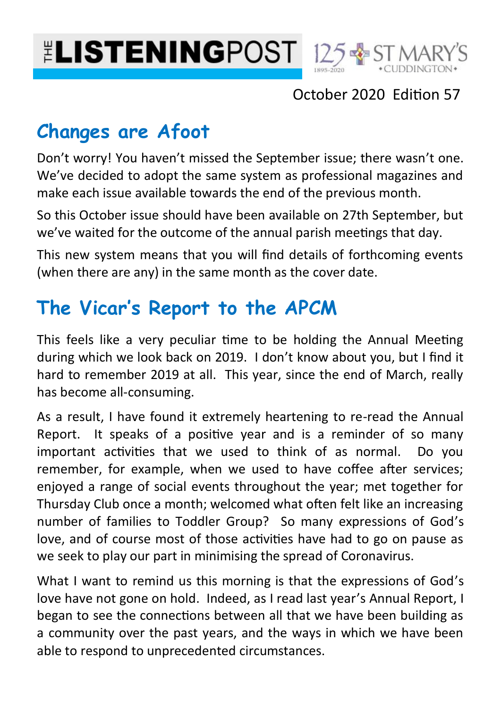



## October 2020 Edition 57

## **Changes are Afoot**

Don't worry! You haven't missed the September issue; there wasn't one. We've decided to adopt the same system as professional magazines and make each issue available towards the end of the previous month.

So this October issue should have been available on 27th September, but we've waited for the outcome of the annual parish meetings that day.

This new system means that you will find details of forthcoming events (when there are any) in the same month as the cover date.

## **The Vicar's Report to the APCM**

This feels like a very peculiar time to be holding the Annual Meeting during which we look back on 2019. I don't know about you, but I find it hard to remember 2019 at all. This year, since the end of March, really has become all-consuming.

As a result, I have found it extremely heartening to re-read the Annual Report. It speaks of a positive year and is a reminder of so many important activities that we used to think of as normal. Do you remember, for example, when we used to have coffee after services; enjoyed a range of social events throughout the year; met together for Thursday Club once a month; welcomed what often felt like an increasing number of families to Toddler Group? So many expressions of God's love, and of course most of those activities have had to go on pause as we seek to play our part in minimising the spread of Coronavirus.

What I want to remind us this morning is that the expressions of God's love have not gone on hold. Indeed, as I read last year's Annual Report, I began to see the connections between all that we have been building as a community over the past years, and the ways in which we have been able to respond to unprecedented circumstances.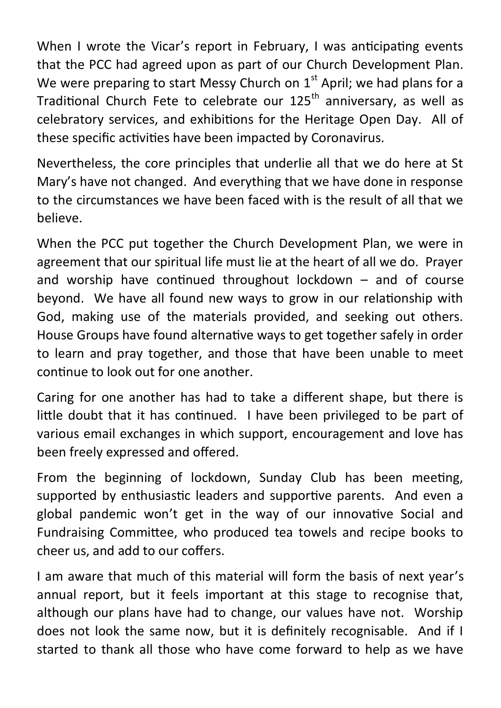When I wrote the Vicar's report in February, I was anticipating events that the PCC had agreed upon as part of our Church Development Plan. We were preparing to start Messy Church on  $1<sup>st</sup>$  April; we had plans for a Traditional Church Fete to celebrate our 125<sup>th</sup> anniversary, as well as celebratory services, and exhibitions for the Heritage Open Day. All of these specific activities have been impacted by Coronavirus.

Nevertheless, the core principles that underlie all that we do here at St Mary's have not changed. And everything that we have done in response to the circumstances we have been faced with is the result of all that we believe.

When the PCC put together the Church Development Plan, we were in agreement that our spiritual life must lie at the heart of all we do. Prayer and worship have continued throughout lockdown – and of course beyond. We have all found new ways to grow in our relationship with God, making use of the materials provided, and seeking out others. House Groups have found alternative ways to get together safely in order to learn and pray together, and those that have been unable to meet continue to look out for one another.

Caring for one another has had to take a different shape, but there is little doubt that it has continued. I have been privileged to be part of various email exchanges in which support, encouragement and love has been freely expressed and offered.

From the beginning of lockdown, Sunday Club has been meeting, supported by enthusiastic leaders and supportive parents. And even a global pandemic won't get in the way of our innovative Social and Fundraising Committee, who produced tea towels and recipe books to cheer us, and add to our coffers.

I am aware that much of this material will form the basis of next year's annual report, but it feels important at this stage to recognise that, although our plans have had to change, our values have not. Worship does not look the same now, but it is definitely recognisable. And if I started to thank all those who have come forward to help as we have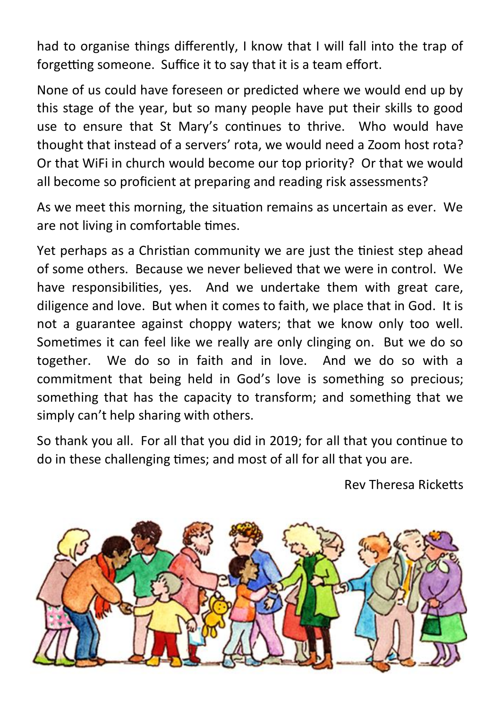had to organise things differently, I know that I will fall into the trap of forgetting someone. Suffice it to say that it is a team effort.

None of us could have foreseen or predicted where we would end up by this stage of the year, but so many people have put their skills to good use to ensure that St Mary's continues to thrive. Who would have thought that instead of a servers' rota, we would need a Zoom host rota? Or that WiFi in church would become our top priority? Or that we would all become so proficient at preparing and reading risk assessments?

As we meet this morning, the situation remains as uncertain as ever. We are not living in comfortable times.

Yet perhaps as a Christian community we are just the tiniest step ahead of some others. Because we never believed that we were in control. We have responsibilities, yes. And we undertake them with great care, diligence and love. But when it comes to faith, we place that in God. It is not a guarantee against choppy waters; that we know only too well. Sometimes it can feel like we really are only clinging on. But we do so together. We do so in faith and in love. And we do so with a commitment that being held in God's love is something so precious; something that has the capacity to transform; and something that we simply can't help sharing with others.

So thank you all. For all that you did in 2019; for all that you continue to do in these challenging times; and most of all for all that you are.

Rev Theresa Ricketts